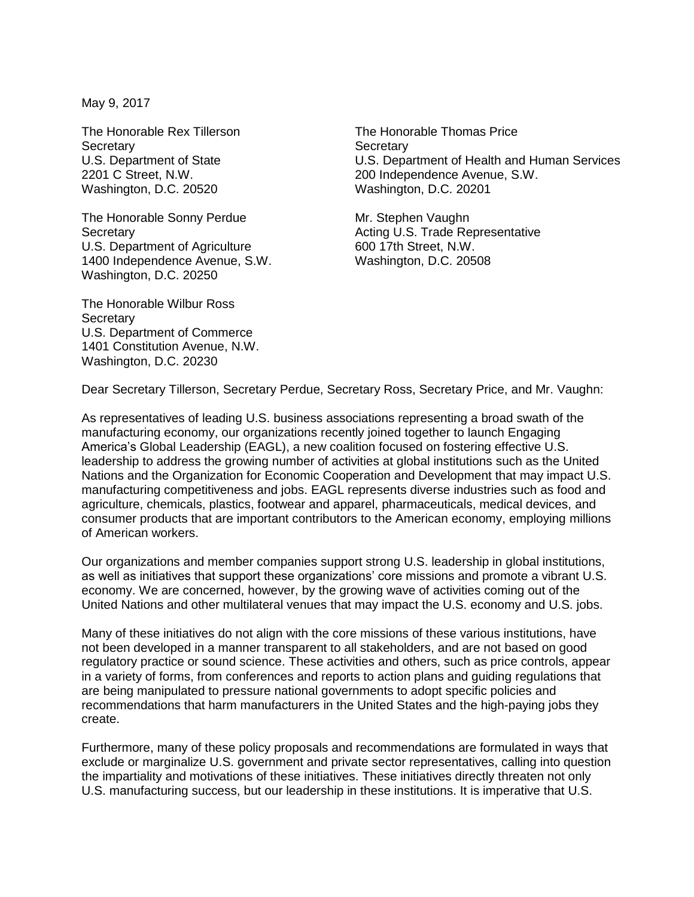May 9, 2017

The Honorable Rex Tillerson **Secretary** U.S. Department of State 2201 C Street, N.W. Washington, D.C. 20520

The Honorable Sonny Perdue **Secretary** U.S. Department of Agriculture 1400 Independence Avenue, S.W. Washington, D.C. 20250

The Honorable Wilbur Ross **Secretary** U.S. Department of Commerce 1401 Constitution Avenue, N.W. Washington, D.C. 20230

The Honorable Thomas Price **Secretary** U.S. Department of Health and Human Services 200 Independence Avenue, S.W. Washington, D.C. 20201

Mr. Stephen Vaughn Acting U.S. Trade Representative 600 17th Street, N.W. Washington, D.C. 20508

Dear Secretary Tillerson, Secretary Perdue, Secretary Ross, Secretary Price, and Mr. Vaughn:

As representatives of leading U.S. business associations representing a broad swath of the manufacturing economy, our organizations recently joined together to launch Engaging America's Global Leadership (EAGL), a new coalition focused on fostering effective U.S. leadership to address the growing number of activities at global institutions such as the United Nations and the Organization for Economic Cooperation and Development that may impact U.S. manufacturing competitiveness and jobs. EAGL represents diverse industries such as food and agriculture, chemicals, plastics, footwear and apparel, pharmaceuticals, medical devices, and consumer products that are important contributors to the American economy, employing millions of American workers.

Our organizations and member companies support strong U.S. leadership in global institutions, as well as initiatives that support these organizations' core missions and promote a vibrant U.S. economy. We are concerned, however, by the growing wave of activities coming out of the United Nations and other multilateral venues that may impact the U.S. economy and U.S. jobs.

Many of these initiatives do not align with the core missions of these various institutions, have not been developed in a manner transparent to all stakeholders, and are not based on good regulatory practice or sound science. These activities and others, such as price controls, appear in a variety of forms, from conferences and reports to action plans and guiding regulations that are being manipulated to pressure national governments to adopt specific policies and recommendations that harm manufacturers in the United States and the high-paying jobs they create.

Furthermore, many of these policy proposals and recommendations are formulated in ways that exclude or marginalize U.S. government and private sector representatives, calling into question the impartiality and motivations of these initiatives. These initiatives directly threaten not only U.S. manufacturing success, but our leadership in these institutions. It is imperative that U.S.